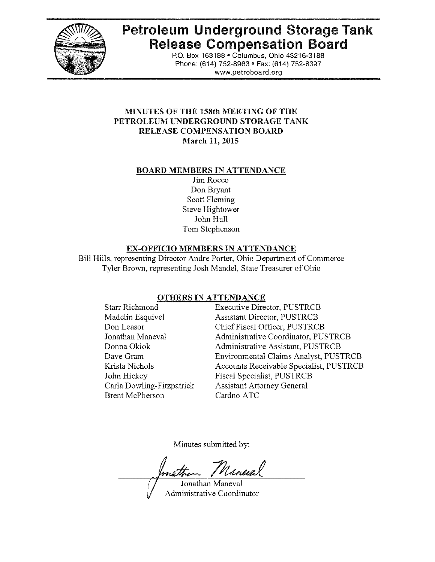

# Petroleum Underground Storage Tank Release Compensation Board

P,O. Box 163188' Columbus, Ohio 43216-3188 Phone: (614) 752-8963 · Fax: (614) 752-8397 www.petroboard.org

# MINUTES OF THE 158th MEETING OF THE PETROLEUM UNDERGROUND STORAGE TANK RELEASE COMPENSATION BOARD March 11, 2015

# BOARD MEMBERS IN ATTENDANCE

Jim Rocco Don Bryant Scott Fleming Steve Hightower John Hull Tom Stephenson

# EX-OFFICIO MEMBERS IN ATTENDANCE

Bill Hills, representing Director Andre Porter, Ohio Department of Commerce Tyler Brown, representing Josh Mandel, State Treasurer of Ohio

# OTHERS IN ATTENDANCE

Brent McPherson Cardno ATC

Starr Richmond Executive Director, PUSTRCB Madelin Esquivel Assistant Director, PUSTRCB Don Leasor Chief Fiscal Officer, PUSTRCB Jonathan Maneval Administrative Coordinator, PUSTRCB Donna Oklok Administrative Assistant, PUSTRCB Dave Gram Environmental Claims Analyst, PUSTRCB Krista Nichols Accounts Receivable Specialist, PUSTRCB John Hickey Fiscal Specialist, PUSTRCB Carla Dowling-Fitzpatrick Assistant Attorney General

Minutes submitted by:

Náneval

Jonathan Maneval Administrative Coordinator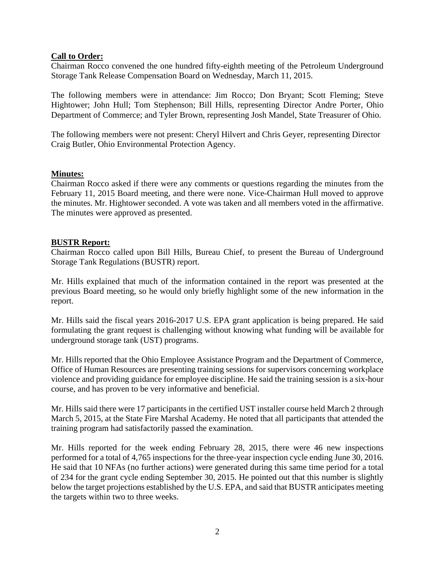# **Call to Order:**

Chairman Rocco convened the one hundred fifty-eighth meeting of the Petroleum Underground Storage Tank Release Compensation Board on Wednesday, March 11, 2015.

The following members were in attendance: Jim Rocco; Don Bryant; Scott Fleming; Steve Hightower; John Hull; Tom Stephenson; Bill Hills, representing Director Andre Porter, Ohio Department of Commerce; and Tyler Brown, representing Josh Mandel, State Treasurer of Ohio.

The following members were not present: Cheryl Hilvert and Chris Geyer, representing Director Craig Butler, Ohio Environmental Protection Agency.

#### **Minutes:**

Chairman Rocco asked if there were any comments or questions regarding the minutes from the February 11, 2015 Board meeting, and there were none. Vice-Chairman Hull moved to approve the minutes. Mr. Hightower seconded. A vote was taken and all members voted in the affirmative. The minutes were approved as presented.

#### **BUSTR Report:**

Chairman Rocco called upon Bill Hills, Bureau Chief, to present the Bureau of Underground Storage Tank Regulations (BUSTR) report.

Mr. Hills explained that much of the information contained in the report was presented at the previous Board meeting, so he would only briefly highlight some of the new information in the report.

Mr. Hills said the fiscal years 2016-2017 U.S. EPA grant application is being prepared. He said formulating the grant request is challenging without knowing what funding will be available for underground storage tank (UST) programs.

Mr. Hills reported that the Ohio Employee Assistance Program and the Department of Commerce, Office of Human Resources are presenting training sessions for supervisors concerning workplace violence and providing guidance for employee discipline. He said the training session is a six-hour course, and has proven to be very informative and beneficial.

Mr. Hills said there were 17 participants in the certified UST installer course held March 2 through March 5, 2015, at the State Fire Marshal Academy. He noted that all participants that attended the training program had satisfactorily passed the examination.

Mr. Hills reported for the week ending February 28, 2015, there were 46 new inspections performed for a total of 4,765 inspections for the three-year inspection cycle ending June 30, 2016. He said that 10 NFAs (no further actions) were generated during this same time period for a total of 234 for the grant cycle ending September 30, 2015. He pointed out that this number is slightly below the target projections established by the U.S. EPA, and said that BUSTR anticipates meeting the targets within two to three weeks.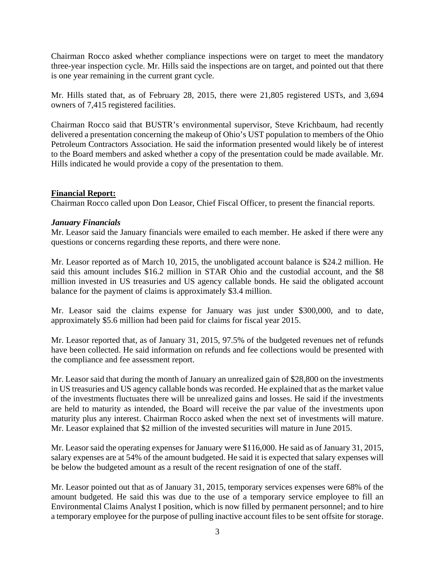Chairman Rocco asked whether compliance inspections were on target to meet the mandatory three-year inspection cycle. Mr. Hills said the inspections are on target, and pointed out that there is one year remaining in the current grant cycle.

Mr. Hills stated that, as of February 28, 2015, there were 21,805 registered USTs, and 3,694 owners of 7,415 registered facilities.

Chairman Rocco said that BUSTR's environmental supervisor, Steve Krichbaum, had recently delivered a presentation concerning the makeup of Ohio's UST population to members of the Ohio Petroleum Contractors Association. He said the information presented would likely be of interest to the Board members and asked whether a copy of the presentation could be made available. Mr. Hills indicated he would provide a copy of the presentation to them.

# **Financial Report:**

Chairman Rocco called upon Don Leasor, Chief Fiscal Officer, to present the financial reports.

# *January Financials*

Mr. Leasor said the January financials were emailed to each member. He asked if there were any questions or concerns regarding these reports, and there were none.

Mr. Leasor reported as of March 10, 2015, the unobligated account balance is \$24.2 million. He said this amount includes \$16.2 million in STAR Ohio and the custodial account, and the \$8 million invested in US treasuries and US agency callable bonds. He said the obligated account balance for the payment of claims is approximately \$3.4 million.

Mr. Leasor said the claims expense for January was just under \$300,000, and to date, approximately \$5.6 million had been paid for claims for fiscal year 2015.

Mr. Leasor reported that, as of January 31, 2015, 97.5% of the budgeted revenues net of refunds have been collected. He said information on refunds and fee collections would be presented with the compliance and fee assessment report.

Mr. Leasor said that during the month of January an unrealized gain of \$28,800 on the investments in US treasuries and US agency callable bonds was recorded. He explained that as the market value of the investments fluctuates there will be unrealized gains and losses. He said if the investments are held to maturity as intended, the Board will receive the par value of the investments upon maturity plus any interest. Chairman Rocco asked when the next set of investments will mature. Mr. Leasor explained that \$2 million of the invested securities will mature in June 2015.

Mr. Leasor said the operating expenses for January were \$116,000. He said as of January 31, 2015, salary expenses are at 54% of the amount budgeted. He said it is expected that salary expenses will be below the budgeted amount as a result of the recent resignation of one of the staff.

Mr. Leasor pointed out that as of January 31, 2015, temporary services expenses were 68% of the amount budgeted. He said this was due to the use of a temporary service employee to fill an Environmental Claims Analyst I position, which is now filled by permanent personnel; and to hire a temporary employee for the purpose of pulling inactive account files to be sent offsite for storage.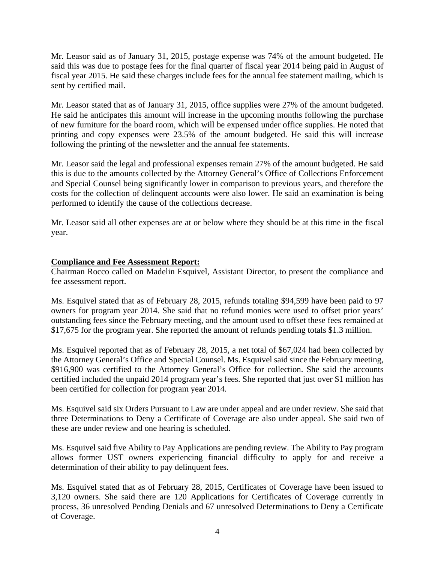Mr. Leasor said as of January 31, 2015, postage expense was 74% of the amount budgeted. He said this was due to postage fees for the final quarter of fiscal year 2014 being paid in August of fiscal year 2015. He said these charges include fees for the annual fee statement mailing, which is sent by certified mail.

Mr. Leasor stated that as of January 31, 2015, office supplies were 27% of the amount budgeted. He said he anticipates this amount will increase in the upcoming months following the purchase of new furniture for the board room, which will be expensed under office supplies. He noted that printing and copy expenses were 23.5% of the amount budgeted. He said this will increase following the printing of the newsletter and the annual fee statements.

Mr. Leasor said the legal and professional expenses remain 27% of the amount budgeted. He said this is due to the amounts collected by the Attorney General's Office of Collections Enforcement and Special Counsel being significantly lower in comparison to previous years, and therefore the costs for the collection of delinquent accounts were also lower. He said an examination is being performed to identify the cause of the collections decrease.

Mr. Leasor said all other expenses are at or below where they should be at this time in the fiscal year.

# **Compliance and Fee Assessment Report:**

Chairman Rocco called on Madelin Esquivel, Assistant Director, to present the compliance and fee assessment report.

Ms. Esquivel stated that as of February 28, 2015, refunds totaling \$94,599 have been paid to 97 owners for program year 2014. She said that no refund monies were used to offset prior years' outstanding fees since the February meeting, and the amount used to offset these fees remained at \$17,675 for the program year. She reported the amount of refunds pending totals \$1.3 million.

Ms. Esquivel reported that as of February 28, 2015, a net total of \$67,024 had been collected by the Attorney General's Office and Special Counsel. Ms. Esquivel said since the February meeting, \$916,900 was certified to the Attorney General's Office for collection. She said the accounts certified included the unpaid 2014 program year's fees. She reported that just over \$1 million has been certified for collection for program year 2014.

Ms. Esquivel said six Orders Pursuant to Law are under appeal and are under review. She said that three Determinations to Deny a Certificate of Coverage are also under appeal. She said two of these are under review and one hearing is scheduled.

Ms. Esquivel said five Ability to Pay Applications are pending review. The Ability to Pay program allows former UST owners experiencing financial difficulty to apply for and receive a determination of their ability to pay delinquent fees.

Ms. Esquivel stated that as of February 28, 2015, Certificates of Coverage have been issued to 3,120 owners. She said there are 120 Applications for Certificates of Coverage currently in process, 36 unresolved Pending Denials and 67 unresolved Determinations to Deny a Certificate of Coverage.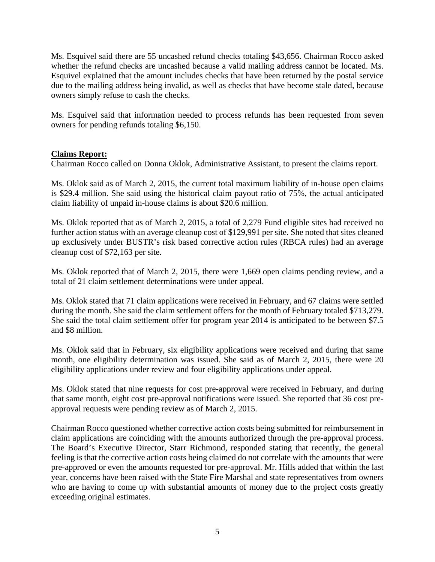Ms. Esquivel said there are 55 uncashed refund checks totaling \$43,656. Chairman Rocco asked whether the refund checks are uncashed because a valid mailing address cannot be located. Ms. Esquivel explained that the amount includes checks that have been returned by the postal service due to the mailing address being invalid, as well as checks that have become stale dated, because owners simply refuse to cash the checks.

Ms. Esquivel said that information needed to process refunds has been requested from seven owners for pending refunds totaling \$6,150.

# **Claims Report:**

Chairman Rocco called on Donna Oklok, Administrative Assistant, to present the claims report.

Ms. Oklok said as of March 2, 2015, the current total maximum liability of in-house open claims is \$29.4 million. She said using the historical claim payout ratio of 75%, the actual anticipated claim liability of unpaid in-house claims is about \$20.6 million.

Ms. Oklok reported that as of March 2, 2015, a total of 2,279 Fund eligible sites had received no further action status with an average cleanup cost of \$129,991 per site. She noted that sites cleaned up exclusively under BUSTR's risk based corrective action rules (RBCA rules) had an average cleanup cost of \$72,163 per site.

Ms. Oklok reported that of March 2, 2015, there were 1,669 open claims pending review, and a total of 21 claim settlement determinations were under appeal.

Ms. Oklok stated that 71 claim applications were received in February, and 67 claims were settled during the month. She said the claim settlement offers for the month of February totaled \$713,279. She said the total claim settlement offer for program year 2014 is anticipated to be between \$7.5 and \$8 million.

Ms. Oklok said that in February, six eligibility applications were received and during that same month, one eligibility determination was issued. She said as of March 2, 2015, there were 20 eligibility applications under review and four eligibility applications under appeal.

Ms. Oklok stated that nine requests for cost pre-approval were received in February, and during that same month, eight cost pre-approval notifications were issued. She reported that 36 cost preapproval requests were pending review as of March 2, 2015.

Chairman Rocco questioned whether corrective action costs being submitted for reimbursement in claim applications are coinciding with the amounts authorized through the pre-approval process. The Board's Executive Director, Starr Richmond, responded stating that recently, the general feeling is that the corrective action costs being claimed do not correlate with the amounts that were pre-approved or even the amounts requested for pre-approval. Mr. Hills added that within the last year, concerns have been raised with the State Fire Marshal and state representatives from owners who are having to come up with substantial amounts of money due to the project costs greatly exceeding original estimates.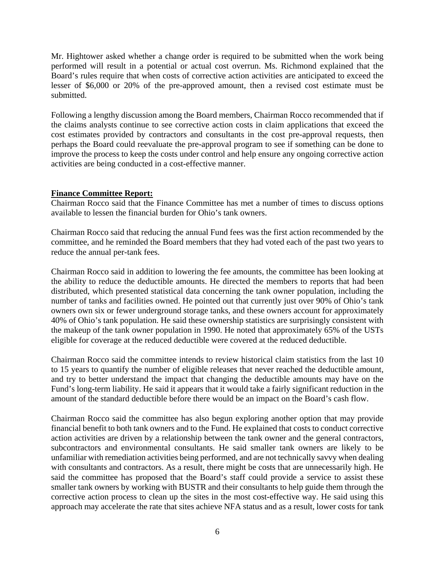Mr. Hightower asked whether a change order is required to be submitted when the work being performed will result in a potential or actual cost overrun. Ms. Richmond explained that the Board's rules require that when costs of corrective action activities are anticipated to exceed the lesser of \$6,000 or 20% of the pre-approved amount, then a revised cost estimate must be submitted.

Following a lengthy discussion among the Board members, Chairman Rocco recommended that if the claims analysts continue to see corrective action costs in claim applications that exceed the cost estimates provided by contractors and consultants in the cost pre-approval requests, then perhaps the Board could reevaluate the pre-approval program to see if something can be done to improve the process to keep the costs under control and help ensure any ongoing corrective action activities are being conducted in a cost-effective manner.

# **Finance Committee Report:**

Chairman Rocco said that the Finance Committee has met a number of times to discuss options available to lessen the financial burden for Ohio's tank owners.

Chairman Rocco said that reducing the annual Fund fees was the first action recommended by the committee, and he reminded the Board members that they had voted each of the past two years to reduce the annual per-tank fees.

Chairman Rocco said in addition to lowering the fee amounts, the committee has been looking at the ability to reduce the deductible amounts. He directed the members to reports that had been distributed, which presented statistical data concerning the tank owner population, including the number of tanks and facilities owned. He pointed out that currently just over 90% of Ohio's tank owners own six or fewer underground storage tanks, and these owners account for approximately 40% of Ohio's tank population. He said these ownership statistics are surprisingly consistent with the makeup of the tank owner population in 1990. He noted that approximately 65% of the USTs eligible for coverage at the reduced deductible were covered at the reduced deductible.

Chairman Rocco said the committee intends to review historical claim statistics from the last 10 to 15 years to quantify the number of eligible releases that never reached the deductible amount, and try to better understand the impact that changing the deductible amounts may have on the Fund's long-term liability. He said it appears that it would take a fairly significant reduction in the amount of the standard deductible before there would be an impact on the Board's cash flow.

Chairman Rocco said the committee has also begun exploring another option that may provide financial benefit to both tank owners and to the Fund. He explained that costs to conduct corrective action activities are driven by a relationship between the tank owner and the general contractors, subcontractors and environmental consultants. He said smaller tank owners are likely to be unfamiliar with remediation activities being performed, and are not technically savvy when dealing with consultants and contractors. As a result, there might be costs that are unnecessarily high. He said the committee has proposed that the Board's staff could provide a service to assist these smaller tank owners by working with BUSTR and their consultants to help guide them through the corrective action process to clean up the sites in the most cost-effective way. He said using this approach may accelerate the rate that sites achieve NFA status and as a result, lower costs for tank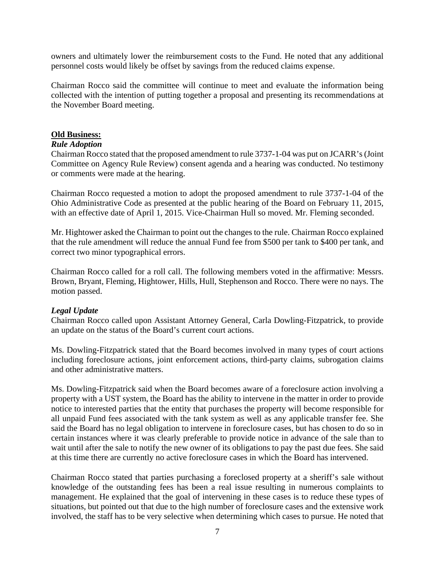owners and ultimately lower the reimbursement costs to the Fund. He noted that any additional personnel costs would likely be offset by savings from the reduced claims expense.

Chairman Rocco said the committee will continue to meet and evaluate the information being collected with the intention of putting together a proposal and presenting its recommendations at the November Board meeting.

#### **Old Business:**

#### *Rule Adoption*

Chairman Rocco stated that the proposed amendment to rule 3737-1-04 was put on JCARR's (Joint Committee on Agency Rule Review) consent agenda and a hearing was conducted. No testimony or comments were made at the hearing.

Chairman Rocco requested a motion to adopt the proposed amendment to rule 3737-1-04 of the Ohio Administrative Code as presented at the public hearing of the Board on February 11, 2015, with an effective date of April 1, 2015. Vice-Chairman Hull so moved. Mr. Fleming seconded.

Mr. Hightower asked the Chairman to point out the changes to the rule. Chairman Rocco explained that the rule amendment will reduce the annual Fund fee from \$500 per tank to \$400 per tank, and correct two minor typographical errors.

Chairman Rocco called for a roll call. The following members voted in the affirmative: Messrs. Brown, Bryant, Fleming, Hightower, Hills, Hull, Stephenson and Rocco. There were no nays. The motion passed.

#### *Legal Update*

Chairman Rocco called upon Assistant Attorney General, Carla Dowling-Fitzpatrick, to provide an update on the status of the Board's current court actions.

Ms. Dowling-Fitzpatrick stated that the Board becomes involved in many types of court actions including foreclosure actions, joint enforcement actions, third-party claims, subrogation claims and other administrative matters.

Ms. Dowling-Fitzpatrick said when the Board becomes aware of a foreclosure action involving a property with a UST system, the Board has the ability to intervene in the matter in order to provide notice to interested parties that the entity that purchases the property will become responsible for all unpaid Fund fees associated with the tank system as well as any applicable transfer fee. She said the Board has no legal obligation to intervene in foreclosure cases, but has chosen to do so in certain instances where it was clearly preferable to provide notice in advance of the sale than to wait until after the sale to notify the new owner of its obligations to pay the past due fees. She said at this time there are currently no active foreclosure cases in which the Board has intervened.

Chairman Rocco stated that parties purchasing a foreclosed property at a sheriff's sale without knowledge of the outstanding fees has been a real issue resulting in numerous complaints to management. He explained that the goal of intervening in these cases is to reduce these types of situations, but pointed out that due to the high number of foreclosure cases and the extensive work involved, the staff has to be very selective when determining which cases to pursue. He noted that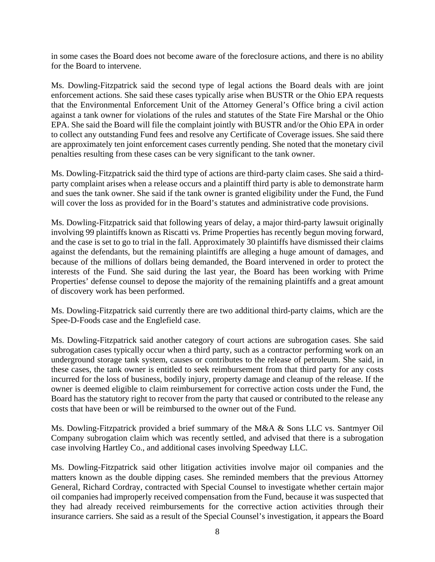in some cases the Board does not become aware of the foreclosure actions, and there is no ability for the Board to intervene.

Ms. Dowling-Fitzpatrick said the second type of legal actions the Board deals with are joint enforcement actions. She said these cases typically arise when BUSTR or the Ohio EPA requests that the Environmental Enforcement Unit of the Attorney General's Office bring a civil action against a tank owner for violations of the rules and statutes of the State Fire Marshal or the Ohio EPA. She said the Board will file the complaint jointly with BUSTR and/or the Ohio EPA in order to collect any outstanding Fund fees and resolve any Certificate of Coverage issues. She said there are approximately ten joint enforcement cases currently pending. She noted that the monetary civil penalties resulting from these cases can be very significant to the tank owner.

Ms. Dowling-Fitzpatrick said the third type of actions are third-party claim cases. She said a thirdparty complaint arises when a release occurs and a plaintiff third party is able to demonstrate harm and sues the tank owner. She said if the tank owner is granted eligibility under the Fund, the Fund will cover the loss as provided for in the Board's statutes and administrative code provisions.

Ms. Dowling-Fitzpatrick said that following years of delay, a major third-party lawsuit originally involving 99 plaintiffs known as Riscatti vs. Prime Properties has recently begun moving forward, and the case is set to go to trial in the fall. Approximately 30 plaintiffs have dismissed their claims against the defendants, but the remaining plaintiffs are alleging a huge amount of damages, and because of the millions of dollars being demanded, the Board intervened in order to protect the interests of the Fund. She said during the last year, the Board has been working with Prime Properties' defense counsel to depose the majority of the remaining plaintiffs and a great amount of discovery work has been performed.

Ms. Dowling-Fitzpatrick said currently there are two additional third-party claims, which are the Spee-D-Foods case and the Englefield case.

Ms. Dowling-Fitzpatrick said another category of court actions are subrogation cases. She said subrogation cases typically occur when a third party, such as a contractor performing work on an underground storage tank system, causes or contributes to the release of petroleum. She said, in these cases, the tank owner is entitled to seek reimbursement from that third party for any costs incurred for the loss of business, bodily injury, property damage and cleanup of the release. If the owner is deemed eligible to claim reimbursement for corrective action costs under the Fund, the Board has the statutory right to recover from the party that caused or contributed to the release any costs that have been or will be reimbursed to the owner out of the Fund.

Ms. Dowling-Fitzpatrick provided a brief summary of the M&A & Sons LLC vs. Santmyer Oil Company subrogation claim which was recently settled, and advised that there is a subrogation case involving Hartley Co., and additional cases involving Speedway LLC.

Ms. Dowling-Fitzpatrick said other litigation activities involve major oil companies and the matters known as the double dipping cases. She reminded members that the previous Attorney General, Richard Cordray, contracted with Special Counsel to investigate whether certain major oil companies had improperly received compensation from the Fund, because it was suspected that they had already received reimbursements for the corrective action activities through their insurance carriers. She said as a result of the Special Counsel's investigation, it appears the Board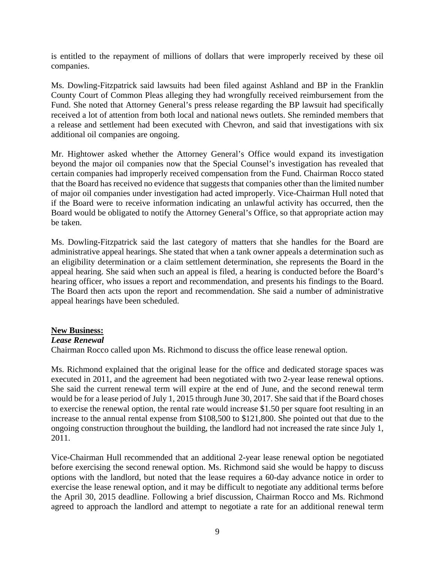is entitled to the repayment of millions of dollars that were improperly received by these oil companies.

Ms. Dowling-Fitzpatrick said lawsuits had been filed against Ashland and BP in the Franklin County Court of Common Pleas alleging they had wrongfully received reimbursement from the Fund. She noted that Attorney General's press release regarding the BP lawsuit had specifically received a lot of attention from both local and national news outlets. She reminded members that a release and settlement had been executed with Chevron, and said that investigations with six additional oil companies are ongoing.

Mr. Hightower asked whether the Attorney General's Office would expand its investigation beyond the major oil companies now that the Special Counsel's investigation has revealed that certain companies had improperly received compensation from the Fund. Chairman Rocco stated that the Board has received no evidence that suggests that companies other than the limited number of major oil companies under investigation had acted improperly. Vice-Chairman Hull noted that if the Board were to receive information indicating an unlawful activity has occurred, then the Board would be obligated to notify the Attorney General's Office, so that appropriate action may be taken.

Ms. Dowling-Fitzpatrick said the last category of matters that she handles for the Board are administrative appeal hearings. She stated that when a tank owner appeals a determination such as an eligibility determination or a claim settlement determination, she represents the Board in the appeal hearing. She said when such an appeal is filed, a hearing is conducted before the Board's hearing officer, who issues a report and recommendation, and presents his findings to the Board. The Board then acts upon the report and recommendation. She said a number of administrative appeal hearings have been scheduled.

# **New Business:**

#### *Lease Renewal*

Chairman Rocco called upon Ms. Richmond to discuss the office lease renewal option.

Ms. Richmond explained that the original lease for the office and dedicated storage spaces was executed in 2011, and the agreement had been negotiated with two 2-year lease renewal options. She said the current renewal term will expire at the end of June, and the second renewal term would be for a lease period of July 1, 2015 through June 30, 2017. She said that if the Board choses to exercise the renewal option, the rental rate would increase \$1.50 per square foot resulting in an increase to the annual rental expense from \$108,500 to \$121,800. She pointed out that due to the ongoing construction throughout the building, the landlord had not increased the rate since July 1, 2011.

Vice-Chairman Hull recommended that an additional 2-year lease renewal option be negotiated before exercising the second renewal option. Ms. Richmond said she would be happy to discuss options with the landlord, but noted that the lease requires a 60-day advance notice in order to exercise the lease renewal option, and it may be difficult to negotiate any additional terms before the April 30, 2015 deadline. Following a brief discussion, Chairman Rocco and Ms. Richmond agreed to approach the landlord and attempt to negotiate a rate for an additional renewal term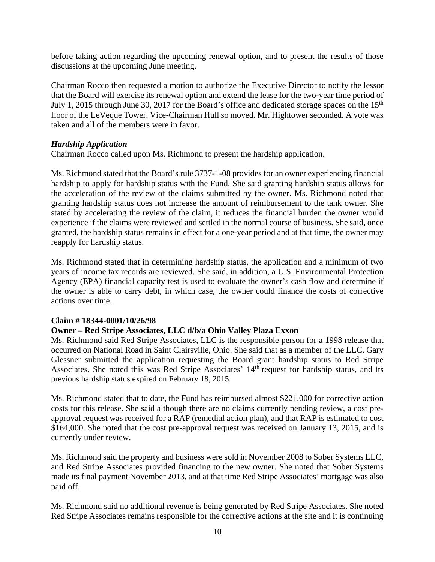before taking action regarding the upcoming renewal option, and to present the results of those discussions at the upcoming June meeting.

Chairman Rocco then requested a motion to authorize the Executive Director to notify the lessor that the Board will exercise its renewal option and extend the lease for the two-year time period of July 1, 2015 through June 30, 2017 for the Board's office and dedicated storage spaces on the 15<sup>th</sup> floor of the LeVeque Tower. Vice-Chairman Hull so moved. Mr. Hightower seconded. A vote was taken and all of the members were in favor.

# *Hardship Application*

Chairman Rocco called upon Ms. Richmond to present the hardship application.

Ms. Richmond stated that the Board's rule 3737-1-08 provides for an owner experiencing financial hardship to apply for hardship status with the Fund. She said granting hardship status allows for the acceleration of the review of the claims submitted by the owner. Ms. Richmond noted that granting hardship status does not increase the amount of reimbursement to the tank owner. She stated by accelerating the review of the claim, it reduces the financial burden the owner would experience if the claims were reviewed and settled in the normal course of business. She said, once granted, the hardship status remains in effect for a one-year period and at that time, the owner may reapply for hardship status.

Ms. Richmond stated that in determining hardship status, the application and a minimum of two years of income tax records are reviewed. She said, in addition, a U.S. Environmental Protection Agency (EPA) financial capacity test is used to evaluate the owner's cash flow and determine if the owner is able to carry debt, in which case, the owner could finance the costs of corrective actions over time.

#### **Claim # 18344-0001/10/26/98**

#### **Owner – Red Stripe Associates, LLC d/b/a Ohio Valley Plaza Exxon**

Ms. Richmond said Red Stripe Associates, LLC is the responsible person for a 1998 release that occurred on National Road in Saint Clairsville, Ohio. She said that as a member of the LLC, Gary Glessner submitted the application requesting the Board grant hardship status to Red Stripe Associates. She noted this was Red Stripe Associates' 14<sup>th</sup> request for hardship status, and its previous hardship status expired on February 18, 2015.

Ms. Richmond stated that to date, the Fund has reimbursed almost \$221,000 for corrective action costs for this release. She said although there are no claims currently pending review, a cost preapproval request was received for a RAP (remedial action plan), and that RAP is estimated to cost \$164,000. She noted that the cost pre-approval request was received on January 13, 2015, and is currently under review.

Ms. Richmond said the property and business were sold in November 2008 to Sober Systems LLC, and Red Stripe Associates provided financing to the new owner. She noted that Sober Systems made its final payment November 2013, and at that time Red Stripe Associates' mortgage was also paid off.

Ms. Richmond said no additional revenue is being generated by Red Stripe Associates. She noted Red Stripe Associates remains responsible for the corrective actions at the site and it is continuing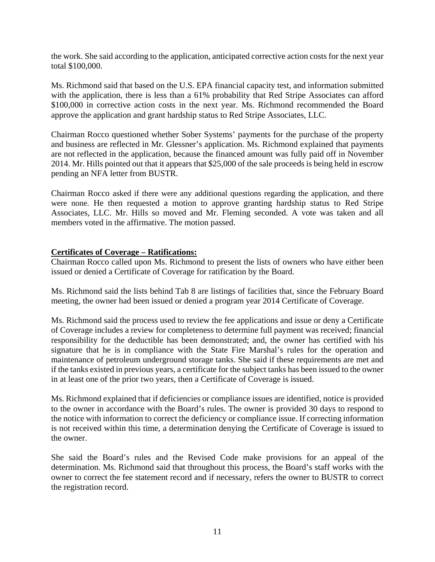the work. She said according to the application, anticipated corrective action costs for the next year total \$100,000.

Ms. Richmond said that based on the U.S. EPA financial capacity test, and information submitted with the application, there is less than a 61% probability that Red Stripe Associates can afford \$100,000 in corrective action costs in the next year. Ms. Richmond recommended the Board approve the application and grant hardship status to Red Stripe Associates, LLC.

Chairman Rocco questioned whether Sober Systems' payments for the purchase of the property and business are reflected in Mr. Glessner's application. Ms. Richmond explained that payments are not reflected in the application, because the financed amount was fully paid off in November 2014. Mr. Hills pointed out that it appears that \$25,000 of the sale proceeds is being held in escrow pending an NFA letter from BUSTR.

Chairman Rocco asked if there were any additional questions regarding the application, and there were none. He then requested a motion to approve granting hardship status to Red Stripe Associates, LLC. Mr. Hills so moved and Mr. Fleming seconded. A vote was taken and all members voted in the affirmative. The motion passed.

#### **Certificates of Coverage – Ratifications:**

Chairman Rocco called upon Ms. Richmond to present the lists of owners who have either been issued or denied a Certificate of Coverage for ratification by the Board.

Ms. Richmond said the lists behind Tab 8 are listings of facilities that, since the February Board meeting, the owner had been issued or denied a program year 2014 Certificate of Coverage.

Ms. Richmond said the process used to review the fee applications and issue or deny a Certificate of Coverage includes a review for completeness to determine full payment was received; financial responsibility for the deductible has been demonstrated; and, the owner has certified with his signature that he is in compliance with the State Fire Marshal's rules for the operation and maintenance of petroleum underground storage tanks. She said if these requirements are met and if the tanks existed in previous years, a certificate for the subject tanks has been issued to the owner in at least one of the prior two years, then a Certificate of Coverage is issued.

Ms. Richmond explained that if deficiencies or compliance issues are identified, notice is provided to the owner in accordance with the Board's rules. The owner is provided 30 days to respond to the notice with information to correct the deficiency or compliance issue. If correcting information is not received within this time, a determination denying the Certificate of Coverage is issued to the owner.

She said the Board's rules and the Revised Code make provisions for an appeal of the determination. Ms. Richmond said that throughout this process, the Board's staff works with the owner to correct the fee statement record and if necessary, refers the owner to BUSTR to correct the registration record.